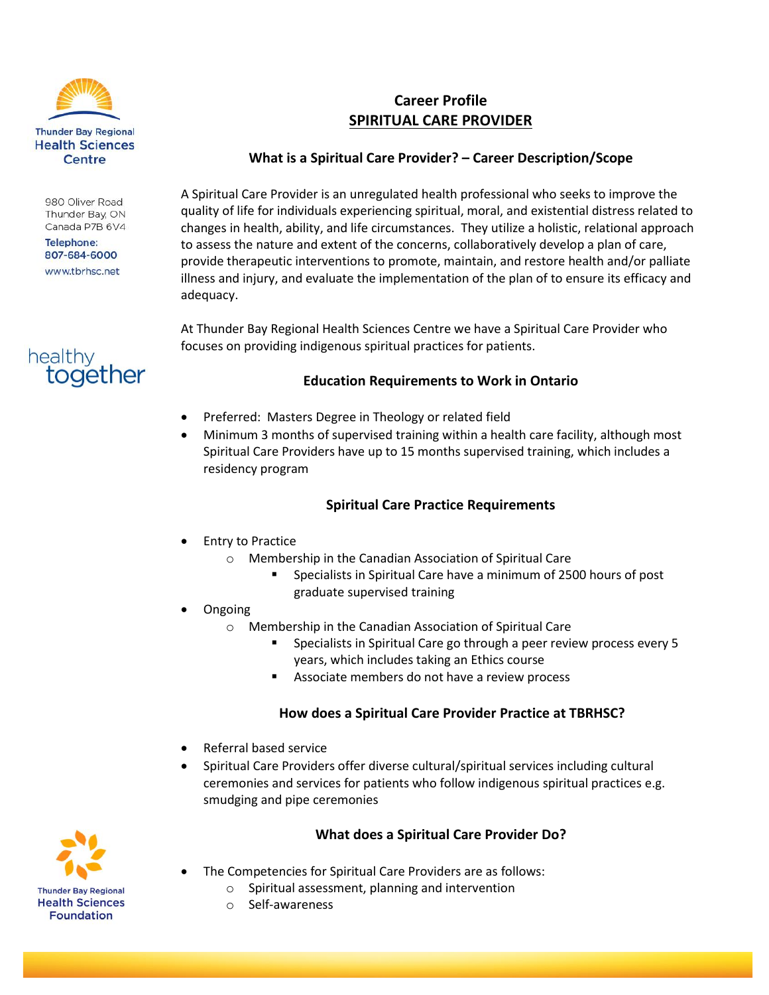

980 Oliver Road Thunder Bay, ON Canada P7B 6V4

**Telephone:** 807-684-6000 www.tbrhsc.net



# **Career Profile SPIRITUAL CARE PROVIDER**

## **What is a Spiritual Care Provider? – Career Description/Scope**

A Spiritual Care Provider is an unregulated health professional who seeks to improve the quality of life for individuals experiencing spiritual, moral, and existential distress related to changes in health, ability, and life circumstances. They utilize a holistic, relational approach to assess the nature and extent of the concerns, collaboratively develop a plan of care, provide therapeutic interventions to promote, maintain, and restore health and/or palliate illness and injury, and evaluate the implementation of the plan of to ensure its efficacy and adequacy.

At Thunder Bay Regional Health Sciences Centre we have a Spiritual Care Provider who focuses on providing indigenous spiritual practices for patients.

## **Education Requirements to Work in Ontario**

- Preferred: Masters Degree in Theology or related field
- Minimum 3 months of supervised training within a health care facility, although most Spiritual Care Providers have up to 15 months supervised training, which includes a residency program

# **Spiritual Care Practice Requirements**

- Entry to Practice
	- o Membership in the Canadian Association of Spiritual Care
		- Specialists in Spiritual Care have a minimum of 2500 hours of post graduate supervised training
- Ongoing
	- o Membership in the Canadian Association of Spiritual Care
		- **Specialists in Spiritual Care go through a peer review process every 5** years, which includes taking an Ethics course
		- **Associate members do not have a review process**

#### **How does a Spiritual Care Provider Practice at TBRHSC?**

- Referral based service
- Spiritual Care Providers offer diverse cultural/spiritual services including cultural ceremonies and services for patients who follow indigenous spiritual practices e.g. smudging and pipe ceremonies

# **What does a Spiritual Care Provider Do?**

- The Competencies for Spiritual Care Providers are as follows:
	- o Spiritual assessment, planning and intervention
	- o Self-awareness